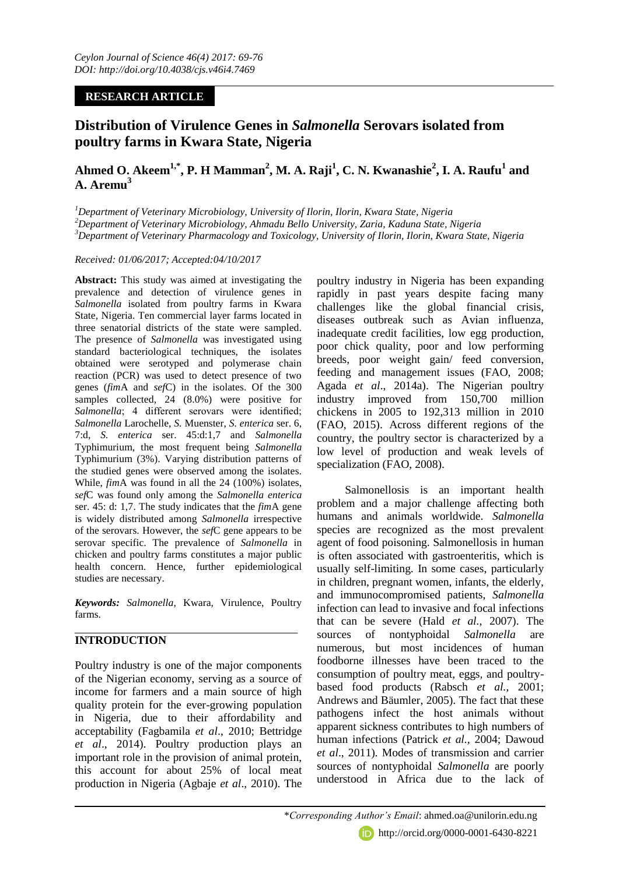## **RESEARCH ARTICLE**

# **Distribution of Virulence Genes in** *Salmonella* **Serovars isolated from poultry farms in Kwara State, Nigeria**

## **Ahmed O. Akeem1,\*, P. H Mamman<sup>2</sup> , M. A. Raji<sup>1</sup> , C. N. Kwanashie<sup>2</sup> , I. A. Raufu<sup>1</sup> and A. Aremu<sup>3</sup>**

*<sup>1</sup>Department of Veterinary Microbiology, University of Ilorin, Ilorin, Kwara State, Nigeria <sup>2</sup>Department of Veterinary Microbiology, Ahmadu Bello University, Zaria, Kaduna State, Nigeria <sup>3</sup>Department of Veterinary Pharmacology and Toxicology, University of Ilorin, Ilorin, Kwara State, Nigeria*

#### *Received: 01/06/2017; Accepted:04/10/2017*

**Abstract:** This study was aimed at investigating the prevalence and detection of virulence genes in *Salmonella* isolated from poultry farms in Kwara State, Nigeria. Ten commercial layer farms located in three senatorial districts of the state were sampled. The presence of *Salmonella* was investigated using standard bacteriological techniques, the isolates obtained were serotyped and polymerase chain reaction (PCR) was used to detect presence of two genes (*fim*A and *sef*C) in the isolates. Of the 300 samples collected, 24 (8.0%) were positive for *Salmonella*; 4 different serovars were identified; *Salmonella* Larochelle, *S.* Muenster, *S. enterica* ser. 6, 7:d, *S. enterica* ser. 45:d:1,7 and *Salmonella* Typhimurium, the most frequent being *Salmonella* Typhimurium (3%). Varying distribution patterns of the studied genes were observed among the isolates. While, *fim*A was found in all the 24 (100%) isolates, *sef*C was found only among the *Salmonella enterica*  ser. 45: d: 1,7. The study indicates that the *fim*A gene is widely distributed among *Salmonella* irrespective of the serovars. However, the *sef*C gene appears to be serovar specific. The prevalence of *Salmonella* in chicken and poultry farms constitutes a major public health concern. Hence, further epidemiological studies are necessary.

*Keywords: Salmonella*, Kwara, Virulence, Poultry farms.

## **INTRODUCTION**

Poultry industry is one of the major components of the Nigerian economy, serving as a source of income for farmers and a main source of high quality protein for the ever-growing population in Nigeria, due to their affordability and acceptability (Fagbamila *et al*., 2010; Bettridge *et al*., 2014). Poultry production plays an important role in the provision of animal protein, this account for about 25% of local meat production in Nigeria (Agbaje *et al*., 2010). The

poultry industry in Nigeria has been expanding rapidly in past years despite facing many challenges like the global financial crisis, diseases outbreak such as Avian influenza, inadequate credit facilities, low egg production, poor chick quality, poor and low performing breeds, poor weight gain/ feed conversion, feeding and management issues (FAO, 2008; Agada *et al*., 2014a). The Nigerian poultry industry improved from 150,700 million chickens in 2005 to 192,313 million in 2010 (FAO, 2015). Across different regions of the country, the poultry sector is characterized by a low level of production and weak levels of specialization (FAO, 2008).

Salmonellosis is an important health problem and a major challenge affecting both humans and animals worldwide. *Salmonella* species are recognized as the most prevalent agent of food poisoning. Salmonellosis in human is often associated with gastroenteritis, which is usually self-limiting. In some cases, particularly in children, pregnant women, infants, the elderly, and immunocompromised patients, *Salmonella*  infection can lead to invasive and focal infections that can be severe (Hald *et al.,* 2007). The sources of nontyphoidal *Salmonella* are numerous, but most incidences of human foodborne illnesses have been traced to the consumption of poultry meat, eggs, and poultrybased food products (Rabsch *et al.,* 2001; Andrews and Bäumler, 2005). The fact that these pathogens infect the host animals without apparent sickness contributes to high numbers of human infections (Patrick *et al.,* 2004; Dawoud *et al*., 2011). Modes of transmission and carrier sources of nontyphoidal *Salmonella* are poorly understood in Africa due to the lack of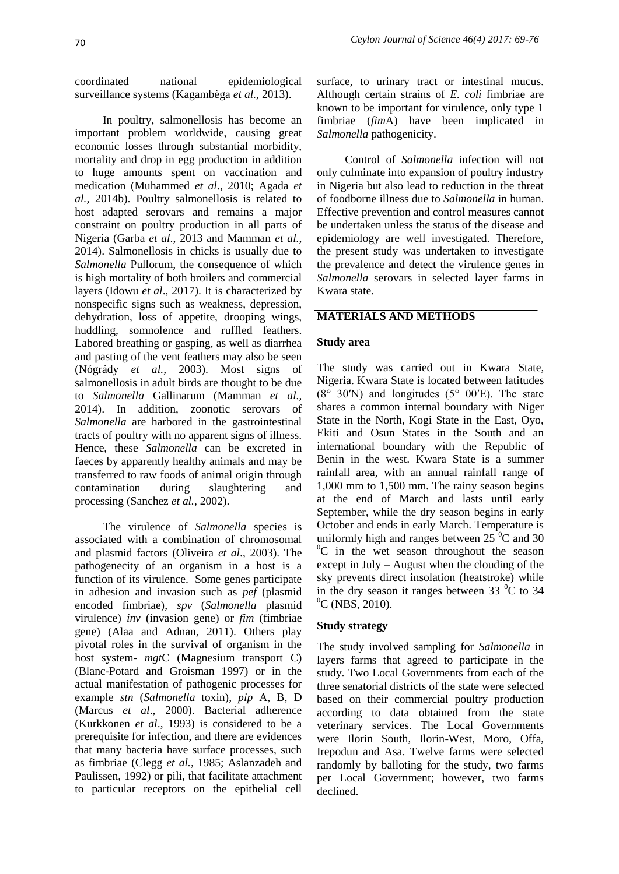coordinated national epidemiological surveillance systems (Kagambèga *et al.,* 2013).

In poultry, salmonellosis has become an important problem worldwide, causing great economic losses through substantial morbidity, mortality and drop in egg production in addition to huge amounts spent on vaccination and medication (Muhammed *et al*., 2010; Agada *et al.,* 2014b). Poultry salmonellosis is related to host adapted serovars and remains a major constraint on poultry production in all parts of Nigeria (Garba *et al*., 2013 and Mamman *et al.,* 2014). Salmonellosis in chicks is usually due to *Salmonella* Pullorum, the consequence of which is high mortality of both broilers and commercial layers (Idowu *et al*., 2017). It is characterized by nonspecific signs such as weakness, depression, dehydration, loss of appetite, drooping wings, huddling, somnolence and ruffled feathers. Labored breathing or gasping, as well as diarrhea and pasting of the vent feathers may also be seen (Nógrády *et al.,* 2003). Most signs of salmonellosis in adult birds are thought to be due to *Salmonella* Gallinarum (Mamman *et al.,* 2014). In addition, zoonotic serovars of *Salmonella* are harbored in the gastrointestinal tracts of poultry with no apparent signs of illness. Hence, these *Salmonella* can be excreted in faeces by apparently healthy animals and may be transferred to raw foods of animal origin through contamination during slaughtering and processing (Sanchez *et al.,* 2002).

The virulence of *Salmonella* species is associated with a combination of chromosomal and plasmid factors (Oliveira *et al*., 2003). The pathogenecity of an organism in a host is a function of its virulence. Some genes participate in adhesion and invasion such as *pef* (plasmid encoded fimbriae), *spv* (*Salmonella* plasmid virulence) *inv* (invasion gene) or *fim* (fimbriae gene) (Alaa and Adnan, 2011). Others play pivotal roles in the survival of organism in the host system- *mgt*C (Magnesium transport C) (Blanc-Potard and Groisman 1997) or in the actual manifestation of pathogenic processes for example *stn* (*Salmonella* toxin), *pip* A, B, D (Marcus *et al*., 2000). Bacterial adherence (Kurkkonen *et al*., 1993) is considered to be a prerequisite for infection, and there are evidences that many bacteria have surface processes, such as fimbriae (Clegg *et al.,* 1985; Aslanzadeh and Paulissen, 1992) or pili, that facilitate attachment to particular receptors on the epithelial cell

surface, to urinary tract or intestinal mucus. Although certain strains of *E. coli* fimbriae are known to be important for virulence, only type 1 fimbriae (*fim*A) have been implicated in *Salmonella* pathogenicity.

Control of *Salmonella* infection will not only culminate into expansion of poultry industry in Nigeria but also lead to reduction in the threat of foodborne illness due to *Salmonella* in human. Effective prevention and control measures cannot be undertaken unless the status of the disease and epidemiology are well investigated. Therefore, the present study was undertaken to investigate the prevalence and detect the virulence genes in *Salmonella* serovars in selected layer farms in Kwara state.

## **MATERIALS AND METHODS**

#### **Study area**

The study was carried out in Kwara State, Nigeria. Kwara State is located between latitudes  $(8^{\circ}$  30′N) and longitudes  $(5^{\circ}$  00′E). The state shares a common internal boundary with Niger State in the North, Kogi State in the East, Oyo, Ekiti and Osun States in the South and an international boundary with the Republic of Benin in the west. Kwara State is a summer rainfall area, with an annual rainfall range of 1,000 mm to 1,500 mm. The rainy season begins at the end of March and lasts until early September, while the dry season begins in early October and ends in early March. Temperature is uniformly high and ranges between  $25<sup>0</sup>C$  and 30  $^{0}C$  in the wet season throughout the season except in July – August when the clouding of the sky prevents direct insolation (heatstroke) while in the dry season it ranges between  $33\text{ °C}$  to  $34$  $^0C$  (NBS, 2010).

## **Study strategy**

The study involved sampling for *Salmonella* in layers farms that agreed to participate in the study. Two Local Governments from each of the three senatorial districts of the state were selected based on their commercial poultry production according to data obtained from the state veterinary services. The Local Governments were Ilorin South, Ilorin-West, Moro, Offa, Irepodun and Asa. Twelve farms were selected randomly by balloting for the study, two farms per Local Government; however, two farms declined.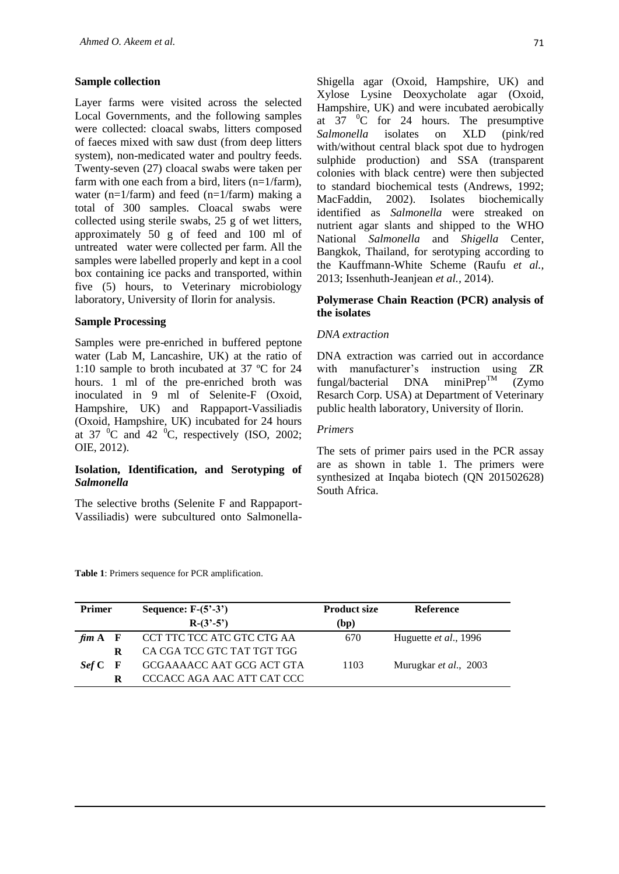#### **Sample collection**

Layer farms were visited across the selected Local Governments, and the following samples were collected: cloacal swabs, litters composed of faeces mixed with saw dust (from deep litters system), non-medicated water and poultry feeds. Twenty-seven (27) cloacal swabs were taken per farm with one each from a bird, liters  $(n=1/farm)$ , water (n=1/farm) and feed (n=1/farm) making a total of 300 samples. Cloacal swabs were collected using sterile swabs, 25 g of wet litters, approximately 50 g of feed and 100 ml of untreated water were collected per farm. All the samples were labelled properly and kept in a cool box containing ice packs and transported, within five (5) hours, to Veterinary microbiology laboratory, University of Ilorin for analysis.

#### **Sample Processing**

Samples were pre-enriched in buffered peptone water (Lab M, Lancashire, UK) at the ratio of 1:10 sample to broth incubated at 37 ºC for 24 hours. 1 ml of the pre-enriched broth was inoculated in 9 ml of Selenite-F (Oxoid, Hampshire, UK) and Rappaport-Vassiliadis (Oxoid, Hampshire, UK) incubated for 24 hours at 37  $\mathrm{^0C}$  and 42  $\mathrm{^0C}$ , respectively (ISO, 2002; OIE, 2012).

#### **Isolation, Identification, and Serotyping of**  *Salmonella*

The selective broths (Selenite F and Rappaport-Vassiliadis) were subcultured onto Salmonella-

Shigella agar (Oxoid, Hampshire, UK) and Xylose Lysine Deoxycholate agar (Oxoid, Hampshire, UK) and were incubated aerobically at  $37 \text{ }^{\circ}$ C for 24 hours. The presumptive *Salmonella isolates* on XLD (pink/red) with/without central black spot due to hydrogen sulphide production) and SSA (transparent colonies with black centre) were then subjected to standard biochemical tests (Andrews, 1992; MacFaddin, 2002). Isolates biochemically identified as *Salmonella* were streaked on nutrient agar slants and shipped to the WHO National *Salmonella* and *Shigella* Center, Bangkok, Thailand, for serotyping according to the Kauffmann-White Scheme (Raufu *et al.,* 2013; Issenhuth-Jeanjean *et al.,* 2014).

#### **Polymerase Chain Reaction (PCR) analysis of the isolates**

#### *DNA extraction*

DNA extraction was carried out in accordance with manufacturer's instruction using  $ZR$ <br>fungal/bacterial DNA miniPrep<sup>TM</sup> (Zymo fungal/bacterial DNA miniPrep<sup>TM</sup> (Zymo Resarch Corp. USA) at Department of Veterinary public health laboratory, University of Ilorin.

#### *Primers*

The sets of primer pairs used in the PCR assay are as shown in table 1. The primers were synthesized at Inqaba biotech (QN 201502628) South Africa.

**Table 1**: Primers sequence for PCR amplification.

| <b>Primer</b> | Sequence: $F-(5'-3')$      | <b>Product size</b> | <b>Reference</b>              |
|---------------|----------------------------|---------------------|-------------------------------|
|               | $R-(3'-5')$                | (bp)                |                               |
| $\dim A$ F    | CCT TTC TCC ATC GTC CTG AA | 670                 | Huguette et al., 1996         |
| R             | CA CGA TCC GTC TAT TGT TGG |                     |                               |
| Sef C F       | GCGAAAACC AAT GCG ACT GTA  | 1103                | Murugkar <i>et al.</i> , 2003 |
| R             | CCCACC AGA AAC ATT CAT CCC |                     |                               |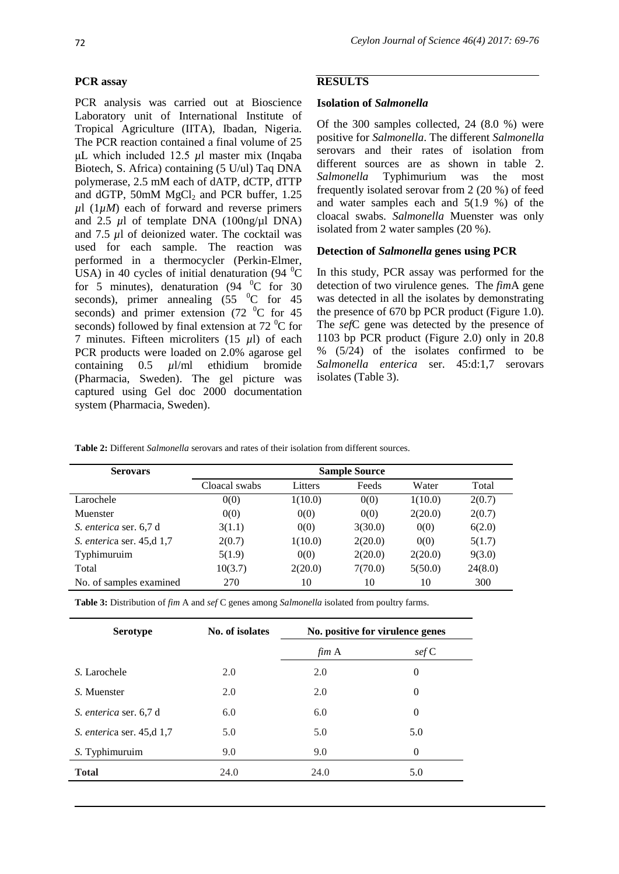## **PCR assay**

PCR analysis was carried out at Bioscience Laboratory unit of International Institute of Tropical Agriculture (IITA), Ibadan, Nigeria. The PCR reaction contained a final volume of 25 μL which included 12.5 *µ*l master mix (Inqaba Biotech, S. Africa) containing (5 U/ul) Taq DNA polymerase, 2.5 mM each of dATP, dCTP, dTTP and dGTP, 50mM  $MgCl<sub>2</sub>$  and PCR buffer, 1.25  $\mu$ l (1 $\mu$ *M*) each of forward and reverse primers and 2.5  $\mu$ l of template DNA (100ng/ $\mu$ l DNA) and 7.5 *µ*l of deionized water. The cocktail was used for each sample. The reaction was performed in a thermocycler (Perkin-Elmer, USA) in 40 cycles of initial denaturation  $(94 \text{ °C})$ for 5 minutes), denaturation (94  $^{0}$ C for 30 seconds), primer annealing  $(55 \text{ °C}$  for 45 seconds) and primer extension  $(72 \text{ °C}$  for 45 seconds) followed by final extension at  $72<sup>0</sup>C$  for 7 minutes. Fifteen microliters (15 *µ*l) of each PCR products were loaded on 2.0% agarose gel containing 0.5 *µ*l/ml ethidium bromide (Pharmacia, Sweden). The gel picture was captured using Gel doc 2000 documentation system (Pharmacia, Sweden).

## **RESULTS**

## **Isolation of** *Salmonella*

Of the 300 samples collected, 24 (8.0 %) were positive for *Salmonella*. The different *Salmonella*  serovars and their rates of isolation from different sources are as shown in table 2. *Salmonella* Typhimurium was the most frequently isolated serovar from 2 (20 %) of feed and water samples each and 5(1.9 %) of the cloacal swabs. *Salmonella* Muenster was only isolated from 2 water samples (20 %).

## **Detection of** *Salmonella* **genes using PCR**

In this study, PCR assay was performed for the detection of two virulence genes*.* The *fim*A gene was detected in all the isolates by demonstrating the presence of 670 bp PCR product (Figure 1.0). The *sef*C gene was detected by the presence of 1103 bp PCR product (Figure 2.0) only in 20.8  $% (5/24)$  of the isolates confirmed to be *Salmonella enterica* ser. 45:d:1,7 serovars isolates (Table 3).

|  |  |  | <b>Table 2:</b> Different <i>Salmonella</i> serovars and rates of their isolation from different sources. |  |
|--|--|--|-----------------------------------------------------------------------------------------------------------|--|
|--|--|--|-----------------------------------------------------------------------------------------------------------|--|

| <b>Serovars</b>           | <b>Sample Source</b> |         |         |         |         |
|---------------------------|----------------------|---------|---------|---------|---------|
|                           | Cloacal swabs        | Litters | Feeds   | Water   | Total   |
| Larochele                 | 0(0)                 | 1(10.0) | 0(0)    | 1(10.0) | 2(0.7)  |
| Muenster                  | 0(0)                 | 0(0)    | 0(0)    | 2(20.0) | 2(0.7)  |
| S. enterica ser. 6,7 d    | 3(1.1)               | 0(0)    | 3(30.0) | 0(0)    | 6(2.0)  |
| S. enterica ser. 45,d 1,7 | 2(0.7)               | 1(10.0) | 2(20.0) | 0(0)    | 5(1.7)  |
| Typhimuruim               | 5(1.9)               | 0(0)    | 2(20.0) | 2(20.0) | 9(3.0)  |
| Total                     | 10(3.7)              | 2(20.0) | 7(70.0) | 5(50.0) | 24(8.0) |
| No. of samples examined   | 270                  | 10      | 10      | 10      | 300     |

**Table 3:** Distribution of *fim* A and *sef* C genes among *Salmonella* isolated from poultry farms.

| <b>Serotype</b>           | No. of isolates | No. positive for virulence genes |                     |  |
|---------------------------|-----------------|----------------------------------|---------------------|--|
|                           |                 | fim A                            | $\mathcal{E}$ sef C |  |
| S. Larochele              | 2.0             | 2.0                              | $\boldsymbol{0}$    |  |
| S. Muenster               | 2.0             | 2.0                              | $\theta$            |  |
| S. enterica ser. 6,7 d    | 6.0             | 6.0                              | $\theta$            |  |
| S. enterica ser. 45,d 1,7 | 5.0             | 5.0                              | 5.0                 |  |
| S. Typhimuruim            | 9.0             | 9.0                              | $\theta$            |  |
| <b>Total</b>              | 24.0            | 24.0                             | 5.0                 |  |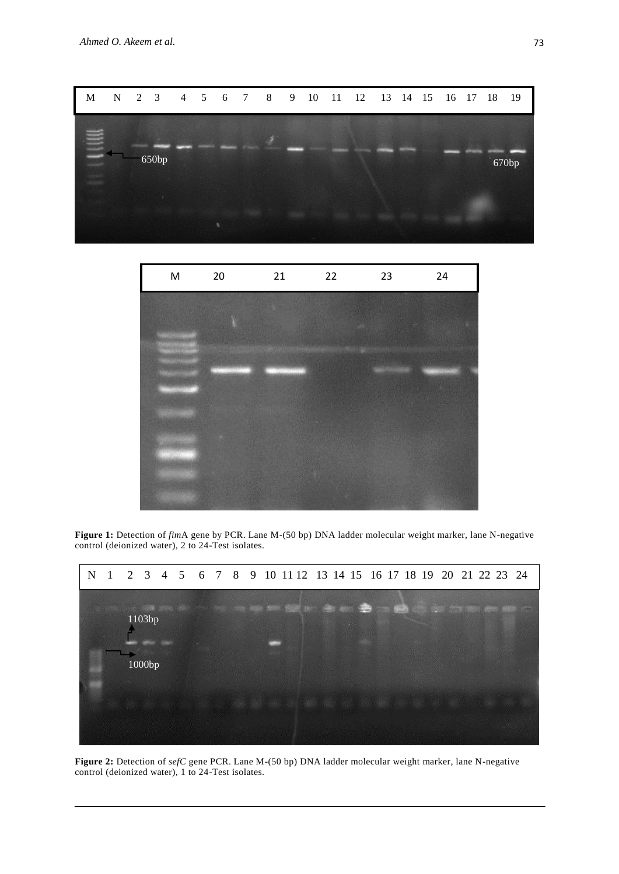



**Figure 1:** Detection of *fim*A gene by PCR. Lane M-(50 bp) DNA ladder molecular weight marker, lane N-negative control (deionized water), 2 to 24-Test isolates.



**Figure 2:** Detection of *sefC* gene PCR. Lane M-(50 bp) DNA ladder molecular weight marker, lane N-negative control (deionized water), 1 to 24-Test isolates.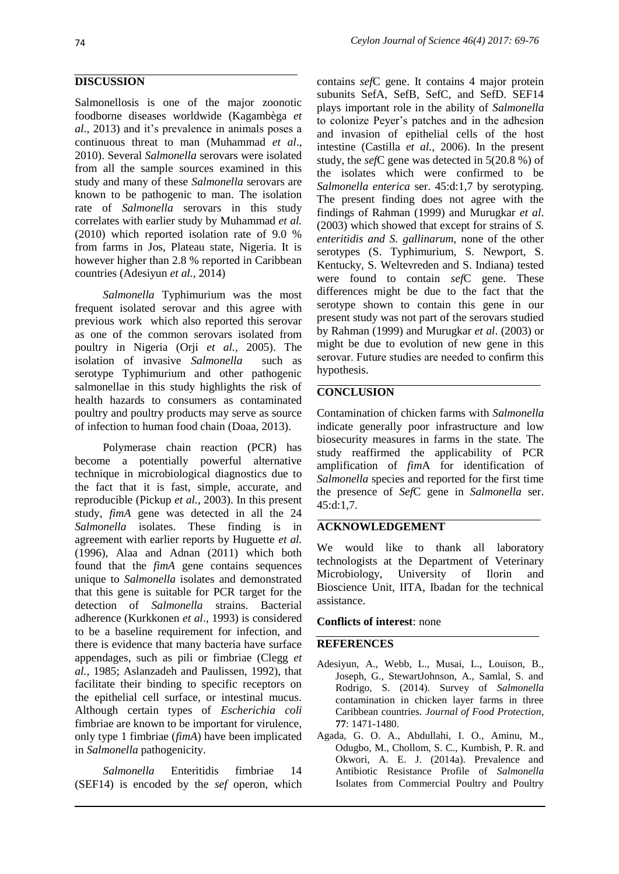## **DISCUSSION**

Salmonellosis is one of the major zoonotic foodborne diseases worldwide (Kagambèga *et al*., 2013) and it's prevalence in animals poses a continuous threat to man (Muhammad *et al*., 2010). Several *Salmonella* serovars were isolated from all the sample sources examined in this study and many of these *Salmonella* serovars are known to be pathogenic to man. The isolation rate of *Salmonella* serovars in this study correlates with earlier study by Muhammad *et al.* (2010) which reported isolation rate of 9.0 % from farms in Jos, Plateau state, Nigeria. It is however higher than 2.8 % reported in Caribbean countries (Adesiyun *et al.,* 2014)

*Salmonella* Typhimurium was the most frequent isolated serovar and this agree with previous work which also reported this serovar as one of the common serovars isolated from poultry in Nigeria (Orji *et al.,* 2005). The isolation of invasive *Salmonella* such as serotype Typhimurium and other pathogenic salmonellae in this study highlights the risk of health hazards to consumers as contaminated poultry and poultry products may serve as source of infection to human food chain (Doaa, 2013).

Polymerase chain reaction (PCR) has become a potentially powerful alternative technique in microbiological diagnostics due to the fact that it is fast, simple, accurate, and reproducible (Pickup *et al.,* 2003). In this present study, *fimA* gene was detected in all the 24 *Salmonella* isolates. These finding is in agreement with earlier reports by Huguette *et al.* (1996), Alaa and Adnan (2011) which both found that the *fimA* gene contains sequences unique to *Salmonella* isolates and demonstrated that this gene is suitable for PCR target for the detection of *Salmonella* strains. Bacterial adherence (Kurkkonen *et al*., 1993) is considered to be a baseline requirement for infection, and there is evidence that many bacteria have surface appendages, such as pili or fimbriae (Clegg *et al.,* 1985; Aslanzadeh and Paulissen, 1992), that facilitate their binding to specific receptors on the epithelial cell surface, or intestinal mucus. Although certain types of *Escherichia coli*  fimbriae are known to be important for virulence, only type 1 fimbriae (*fimA*) have been implicated in *Salmonella* pathogenicity.

*Salmonella* Enteritidis fimbriae 14 (SEF14) is encoded by the *sef* operon, which contains *sef*C gene. It contains 4 major protein subunits SefA, SefB, SefC, and SefD. SEF14 plays important role in the ability of *Salmonella*  to colonize Peyer's patches and in the adhesion and invasion of epithelial cells of the host intestine (Castilla *et al.,* 2006). In the present study, the *sef*C gene was detected in 5(20.8 %) of the isolates which were confirmed to be *Salmonella enterica* ser. 45:d:1,7 by serotyping. The present finding does not agree with the findings of Rahman (1999) and Murugkar *et al*. (2003) which showed that except for strains of *S. enteritidis and S. gallinarum*, none of the other serotypes (S. Typhimurium, S. Newport, S. Kentucky, S. Weltevreden and S. Indiana) tested were found to contain *sef*C gene. These differences might be due to the fact that the serotype shown to contain this gene in our present study was not part of the serovars studied by Rahman (1999) and Murugkar *et al*. (2003) or might be due to evolution of new gene in this serovar. Future studies are needed to confirm this hypothesis.

## **CONCLUSION**

Contamination of chicken farms with *Salmonella* indicate generally poor infrastructure and low biosecurity measures in farms in the state. The study reaffirmed the applicability of PCR amplification of *fim*A for identification of *Salmonella* species and reported for the first time the presence of *Sef*C gene in *Salmonella* ser. 45:d:1,7.

## **ACKNOWLEDGEMENT**

We would like to thank all laboratory technologists at the Department of Veterinary Microbiology, University of Ilorin and Bioscience Unit, IITA, Ibadan for the technical assistance.

## **Conflicts of interest**: none

## **REFERENCES**

- Adesiyun, A., Webb, L., Musai, L., Louison, B., Joseph, G., StewartJohnson, A., Samlal, S. and Rodrigo, S. (2014). Survey of *Salmonella* contamination in chicken layer farms in three Caribbean countries. *Journal of Food Protection,* **77**: 1471-1480.
- Agada, G. O. A., Abdullahi, I. O., Aminu, M., Odugbo, M., Chollom, S. C., Kumbish, P. R. and Okwori, A. E. J. (2014a). Prevalence and Antibiotic Resistance Profile of *Salmonella* Isolates from Commercial Poultry and Poultry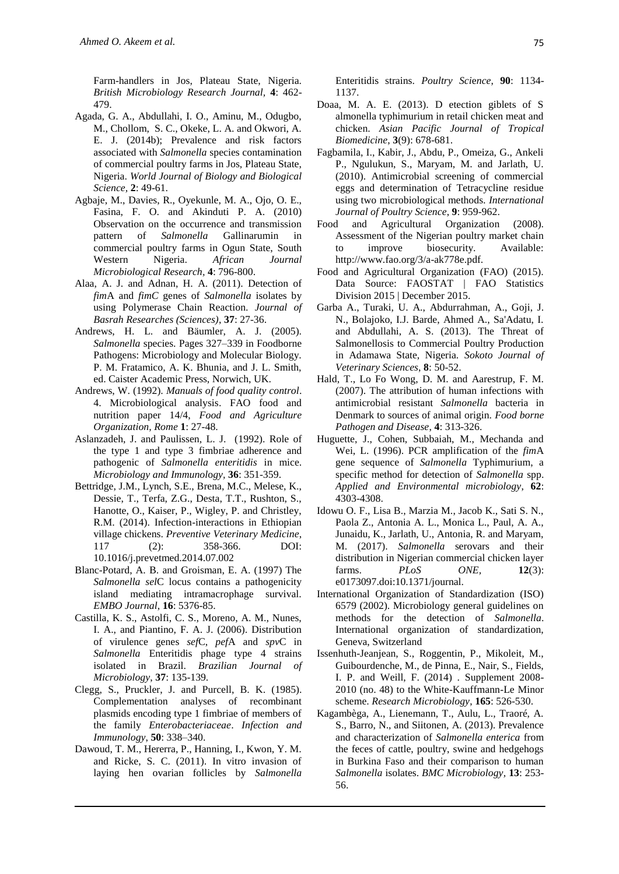Farm-handlers in Jos, Plateau State, Nigeria. *British Microbiology Research Journal,* **4**: 462- 479.

- Agada, G. A., Abdullahi, I. O., Aminu, M., Odugbo, M., Chollom, S. C., Okeke, L. A. and Okwori, A. E. J. (2014b); Prevalence and risk factors associated with *Salmonella* species contamination of commercial poultry farms in Jos, Plateau State, Nigeria. *World Journal of Biology and Biological Science,* **2**: 49-61.
- Agbaje, M., Davies, R., Oyekunle, M. A., Ojo, O. E., Fasina, F. O. and Akinduti P. A. (2010) Observation on the occurrence and transmission pattern of *Salmonella* Gallinarumin in commercial poultry farms in Ogun State, South Western Nigeria. *African Journal Microbiological Research,* **4**: 796-800.
- Alaa, A. J. and Adnan, H. A. (2011). Detection of *fim*A and *fimC* genes of *Salmonella* isolates by using Polymerase Chain Reaction. *Journal of Basrah Researches (Sciences)*, **37**: 27-36.
- Andrews, H. L. and Bäumler, A. J. (2005). *Salmonella* species. Pages 327–339 in Foodborne Pathogens: Microbiology and Molecular Biology. P. M. Fratamico, A. K. Bhunia, and J. L. Smith, ed. Caister Academic Press, Norwich, UK.
- Andrews, W. (1992). *Manuals of food quality control*. 4. Microbiological analysis. FAO food and nutrition paper 14/4, *Food and Agriculture Organization, Rome* **1**: 27-48.
- Aslanzadeh, J. and Paulissen, L. J. (1992). Role of the type 1 and type 3 fimbriae adherence and pathogenic of *Salmonella enteritidis* in mice. *Microbiology and Immunol*o*gy,* **36**: 351-359.
- Bettridge, J.M., Lynch, S.E., Brena, M.C., Melese, K., Dessie, T., Terfa, Z.G., Desta, T.T., Rushton, S., Hanotte, O., Kaiser, P., Wigley, P. and Christley, R.M. (2014). Infection-interactions in Ethiopian village chickens. *Preventive Veterinary Medicine*, 117 (2): 358-366. DOI: 10.1016/j.prevetmed.2014.07.002
- Blanc-Potard, A. B. and Groisman, E. A. (1997) The *Salmonella sel*C locus contains a pathogenicity island mediating intramacrophage survival. *EMBO Journal*, **16**: 5376-85.
- Castilla, K. S., Astolfi, C. S., Moreno, A. M., Nunes, I. A., and Piantino, F. A. J. (2006). Distribution of virulence genes *sef*C, *pef*A and *spv*C in *Salmonella* Enteritidis phage type 4 strains isolated in Brazil. *Brazilian Journal of Microbiology*, **37**: 135-139.
- Clegg, S., Pruckler, J. and Purcell, B. K. (1985). Complementation analyses of recombinant plasmids encoding type 1 fimbriae of members of the family *Enterobacteriaceae*. *Infection and Immunology*, **50**: 338–340.
- Dawoud, T. M., Hererra, P., Hanning, I., Kwon, Y. M. and Ricke, S. C. (2011). In vitro invasion of laying hen ovarian follicles by *Salmonella*

Enteritidis strains. *Poultry Sci*e*nce*, **90**: 1134- 1137.

- Doaa, M. A. E. (2013). D etection giblets of S almonella typhimurium in retail chicken meat and chicken. *Asian Pacific Journal of Tropical Biomedicine*, **3**(9): 678-681.
- Fagbamila, I., Kabir, J., Abdu, P., Omeiza, G., Ankeli P., Ngulukun, S., Maryam, M. and Jarlath, U. (2010). Antimicrobial screening of commercial eggs and determination of Tetracycline residue using two microbiological methods*. International Journal of Poultry Science*, **9**: 959-962.
- Food and Agricultural Organization (2008). Assessment of the Nigerian poultry market chain to improve biosecurity. Available: http://www.fao.org/3/a-ak778e.pdf.
- Food and Agricultural Organization (FAO) (2015). Data Source: FAOSTAT | FAO Statistics Division 2015 | December 2015.
- Garba A., Turaki, U. A., Abdurrahman, A., Goji, J. N., Bolajoko, I.J. Barde, Ahmed A., Sa'Adatu, I. and Abdullahi, A. S. (2013). The Threat of Salmonellosis to Commercial Poultry Production in Adamawa State, Nigeria. *Sokoto Journal of Veterinary Sciences*, **8**: 50-52.
- Hald, T., Lo Fo Wong, D. M. and Aarestrup, F. M. (2007). The attribution of human infections with antimicrobial resistant *Salmonella* bacteria in Denmark to sources of animal origin. *Food borne Pathogen and Disease*, **4**: 313-326.
- Huguette, J., Cohen, Subbaiah, M., Mechanda and Wei, L. (1996). PCR amplification of the *fim*A gene sequence of *Salmonella* Typhimurium, a specific method for detection of *Salmonella* spp. *Applied and Environmental microbiology*, **62**: 4303-4308.
- Idowu O. F., Lisa B., Marzia M., Jacob K., Sati S. N., Paola Z., Antonia A. L., Monica L., Paul, A. A., Junaidu, K., Jarlath, U., Antonia, R. and Maryam, M. (2017). *Salmonella* serovars and their distribution in Nigerian commercial chicken layer farms. *PLoS ONE,* **12**(3): e0173097.doi:10.1371/journal.
- International Organization of Standardization (ISO) 6579 (2002). Microbiology general guidelines on methods for the detection of *Salmonella*. International organization of standardization, Geneva, Switzerland
- Issenhuth-Jeanjean, S., Roggentin, P., Mikoleit, M., Guibourdenche, M., de Pinna, E., Nair, S., Fields, I. P. and Weill, F. (2014) . Supplement 2008- 2010 (no. 48) to the White-Kauffmann-Le Minor scheme. *Research Microbiology*, **165**: 526-530.
- Kagambèga, A., Lienemann, T., Aulu, L., Traoré, A. S., Barro, N., and Siitonen, A. (2013). Prevalence and characterization of *Salmonella enterica* from the feces of cattle, poultry, swine and hedgehogs in Burkina Faso and their comparison to human *Salmonella* isolates. *BMC Microbiology,* **13**: 253- 56.